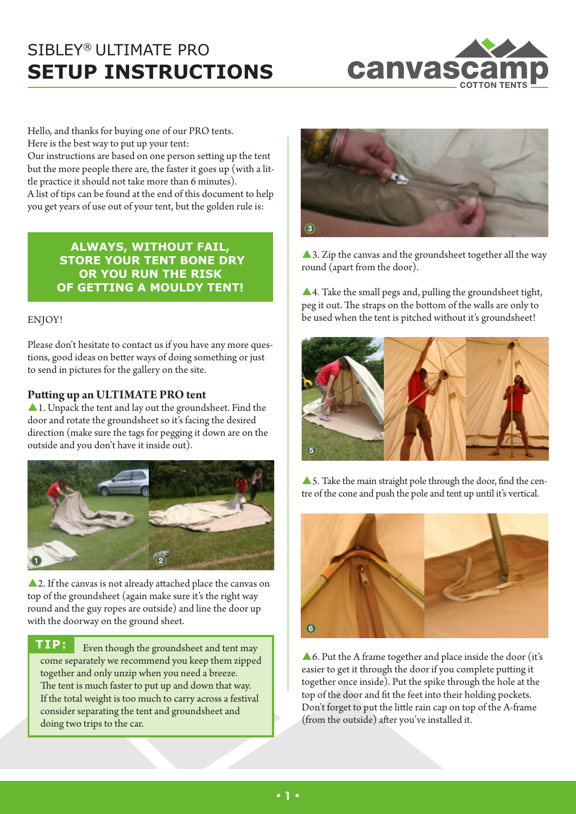

Hello, and thanks for buying one of our PRO tents. Here is the best way to put up your tent:

Our instructions are based on one person setting up the tent but the more people there are, the faster it goes up (with a little practice it should not take more than 6 minutes). A list of tips can be found at the end of this document to help you get years of use out of your tent, but the golden rule is:

> **ALWAYS, WITHOUT FAIL, STORE YOUR TENT BONE DRY OR YOU RUN THE RISK OF GETTING A MOULDY TENT!**

#### ENJOY!

Please don't hesitate to contact us if you have any more questions, good ideas on better ways of doing something or just to send in pictures for the gallery on the site.

### **Putting up an ULTIMATE PRO tent**

A 1. Unpack the tent and lay out the groundsheet. Find the door and rotate the groundsheet so it's facing the desired direction (make sure the tags for pegging it down are on the outside and you don't have it inside out).



▲ 2. If the canvas is not already attached place the canvas on top of the groundsheet (again make sure it's the right way round and the guy ropes are outside) and line the door up with the doorway on the ground sheet.

**TIP:** Even though the groundsheet and tent may come separately we recommend you keep them zipped together and only unzip when you need a breeze. The tent is much faster to put up and down that way. If the total weight is too much to carry across a festival consider separating the tent and groundsheet and doing two trips to the car.



A 3. Zip the canvas and the groundsheet together all the way round (apart from the door).

 $\triangle$  4. Take the small pegs and, pulling the groundsheet tight, peg it out. The straps on the bottom of the walls are only to be used when the tent is pitched without it's groundsheet!



▲ 5. Take the main straight pole through the door, find the centre of the cone and push the pole and tent up until it's vertical.



A 6. Put the A frame together and place inside the door (it's easier to get it through the door if you complete putting it together once inside). Put the spike through the hole at the top of the door and fit the feet into their holding pockets. Don't forget to put the little rain cap on top of the A-frame (from the outside) after you've installed it.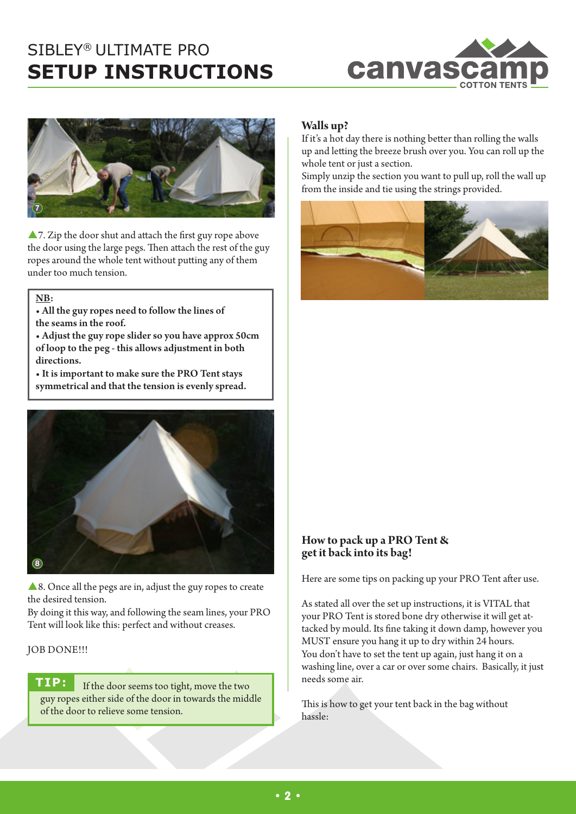



 $\triangle$  7. Zip the door shut and attach the first guy rope above the door using the large pegs. Then attach the rest of the guy ropes around the whole tent without putting any of them under too much tension.

NB:

- All the guy ropes need to follow the lines of the seamsin the roof.
- Adjust the guy rope slider so you have approx 50cm of loop to the peg - this allows adjustment in both directions.

• It is important to make sure the PRO Tent stays symmetrical and that the tension is evenly spread.



 $\triangle$  8. Once all the pegs are in, adjust the guy ropes to create the desired tension.

By doing it this way, and following the seam lines, your PRO Tent will look like this: perfect and without creases.

# JOB DONE !!!

**TIP:** If the door seems too tight, move the two guy ropes either side of the door in towards the middle of the door to relieve some tension.

## **Walls up?**

If it's a hot day there is nothing better than rolling the walls up and letting the breeze brush over you. You can roll up the whole tent or just a section.

Simply unzip the section you want to pull up, roll the wall up from the inside and tie using the strings provided.



### **How to pack up a PRO Tent & get it back into its bag!**

Here are some tips on packing up your PRO Tent after use.

As stated all over the set up instructions, it is VITAL that your PRO Tent is stored bone dry otherwise it will get attacked by mould. Its fine taking it down damp, however you MUST ensure you hang it up to dry within 24 hours. You don't have to set the tent up again, just hang it on a washing line, over a car or over some chairs. Basically, it just needs some air.

This is how to get your tent back in the bag without hassle: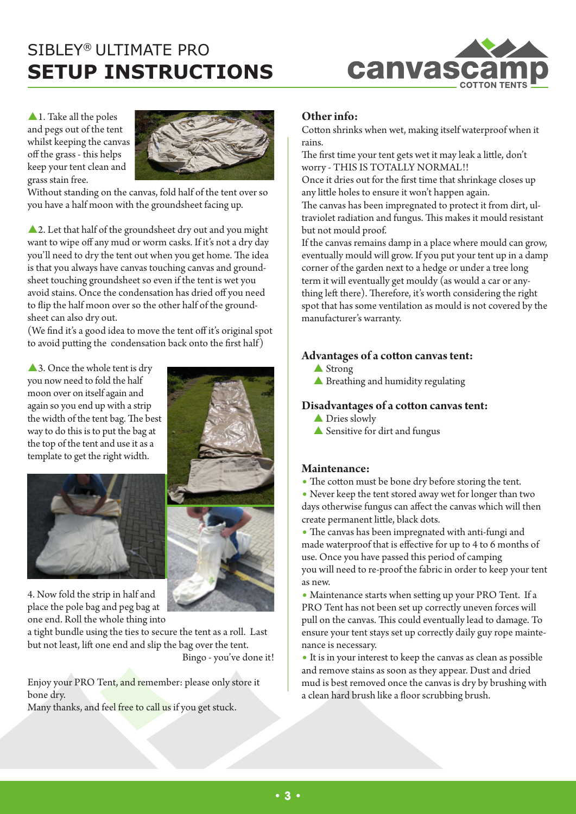

 $\blacktriangle$  1. Take all the poles and pegs out of the tent whilst keeping the canvas off the grass - this helps keep your tent clean and grass stain free.



Without standing on the canvas, fold half of the tent over so you have a half moon with the groundsheet facing up.

▲ 2. Let that half of the groundsheet dry out and you might want to wipe off any mud or worm casks. If it's not a dry day you'll need to dry the tent out when you get home. The idea is that you always have canvas touching canvas and groundsheet touching groundsheet so even if the tent is wet you avoid stains. Once the condensation has dried off you need to flip the half moon over so the other half of the groundsheet can also dry out.

(We find it's a good idea to move the tent off it's original spot to avoid putting the condensation back onto the first half)

▲3. Once the whole tent is dry you now need to fold the half moon over on itself again and again so you end up with a strip the width of the tent bag. The best way to do this is to put the bag at the top of the tent and use it as a template to get the right width.



4. Now fold the strip in half and place the pole bag and peg bag at one end. Roll the whole thing into

a tight bundle using the ties to secure the tent as a roll. Last but not least, lift one end and slip the bag over the tent. Bingo - you've done it!

Enjoy your PRO Tent, and remember: please only store it bone dry.

Many thanks, and feel free to call us if you get stuck.

### **Other info:**

Cotton shrinks when wet, making itself waterproof when it rains.

The first time your tent gets wet it may leak a little, don't worry - THIS IS TOTALLY NORMAL!!

Once it dries out for the first time that shrinkage closes up any little holes to ensure it won't happen again.

The canvas has been impregnated to protect it from dirt, ultraviolet radiation and fungus. This makes it mould resistant but not mould proof.

If the canvas remains damp in a place where mould can grow, eventually mould will grow. If you put your tent up in a damp corner of the garden next to a hedge or under a tree long term it will eventually get mouldy (as would a car or anything left there). Therefore, it's worth considering the right spot that has some ventilation as mould is not covered by the manufacturer's warranty.

#### **Advantages of a cotton canvas tent:**

- $\triangle$  Strong
- $\blacktriangle$  Breathing and humidity regulating

#### **Disadvantages of a cotton canvas tent:**

- $\triangle$  Dries slowly
- $\blacktriangle$  Sensitive for dirt and fungus

#### **Maintenance:**

- The cotton must be bone dry before storing the tent.
- Never keep the tent stored away wet for longer than two days otherwise fungus can affect the canvas which will then create permanent little, black dots.

• The canvas has been impregnated with anti-fungi and made waterproof that is effective for up to 4 to 6 months of use. Once you have passed this period of camping you will need to re-proof the fabric in order to keep your tent as new.

• Maintenance starts when setting up your PRO Tent. If a PRO Tent has not been set up correctly uneven forces will pull on the canvas. This could eventually lead to damage. To ensure your tent stays set up correctly daily guy rope maintenance is necessary.

• It is in your interest to keep the canvas as clean as possible and remove stains as soon as they appear. Dust and dried mud is best removed once the canvas is dry by brushing with a clean hard brush like a floor scrubbing brush.